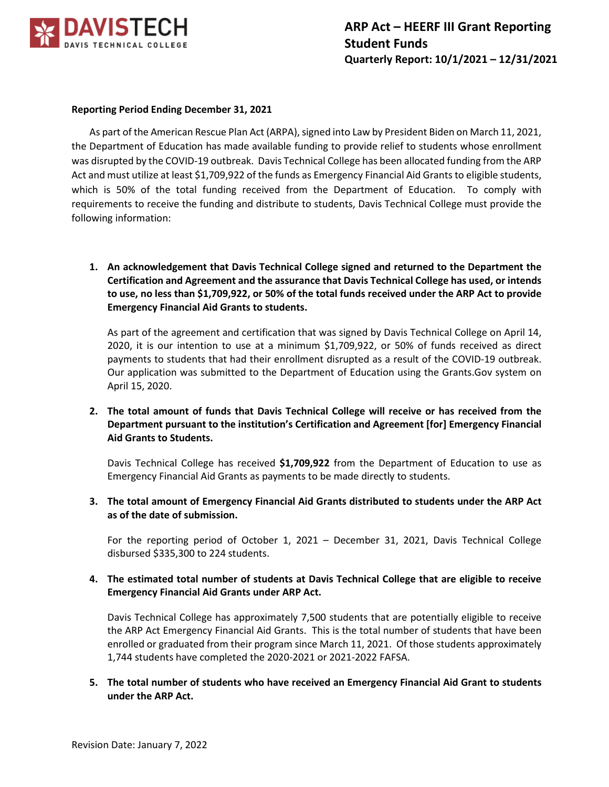

## **Reporting Period Ending December 31, 2021**

As part of the American Rescue Plan Act (ARPA), signed into Law by President Biden on March 11, 2021, the Department of Education has made available funding to provide relief to students whose enrollment was disrupted by the COVID-19 outbreak. Davis Technical College has been allocated funding from the ARP Act and must utilize at least \$1,709,922 of the funds as Emergency Financial Aid Grants to eligible students, which is 50% of the total funding received from the Department of Education. To comply with requirements to receive the funding and distribute to students, Davis Technical College must provide the following information:

**1. An acknowledgement that Davis Technical College signed and returned to the Department the Certification and Agreement and the assurance that Davis Technical College has used, or intends to use, no less than \$1,709,922, or 50% of the total funds received under the ARP Act to provide Emergency Financial Aid Grants to students.**

As part of the agreement and certification that was signed by Davis Technical College on April 14, 2020, it is our intention to use at a minimum \$1,709,922, or 50% of funds received as direct payments to students that had their enrollment disrupted as a result of the COVID-19 outbreak. Our application was submitted to the Department of Education using the Grants.Gov system on April 15, 2020.

## **2. The total amount of funds that Davis Technical College will receive or has received from the Department pursuant to the institution's Certification and Agreement [for] Emergency Financial Aid Grants to Students.**

Davis Technical College has received **\$1,709,922** from the Department of Education to use as Emergency Financial Aid Grants as payments to be made directly to students.

**3. The total amount of Emergency Financial Aid Grants distributed to students under the ARP Act as of the date of submission.**

For the reporting period of October 1, 2021 – December 31, 2021, Davis Technical College disbursed \$335,300 to 224 students.

## **4. The estimated total number of students at Davis Technical College that are eligible to receive Emergency Financial Aid Grants under ARP Act.**

Davis Technical College has approximately 7,500 students that are potentially eligible to receive the ARP Act Emergency Financial Aid Grants. This is the total number of students that have been enrolled or graduated from their program since March 11, 2021. Of those students approximately 1,744 students have completed the 2020-2021 or 2021-2022 FAFSA.

**5. The total number of students who have received an Emergency Financial Aid Grant to students under the ARP Act.**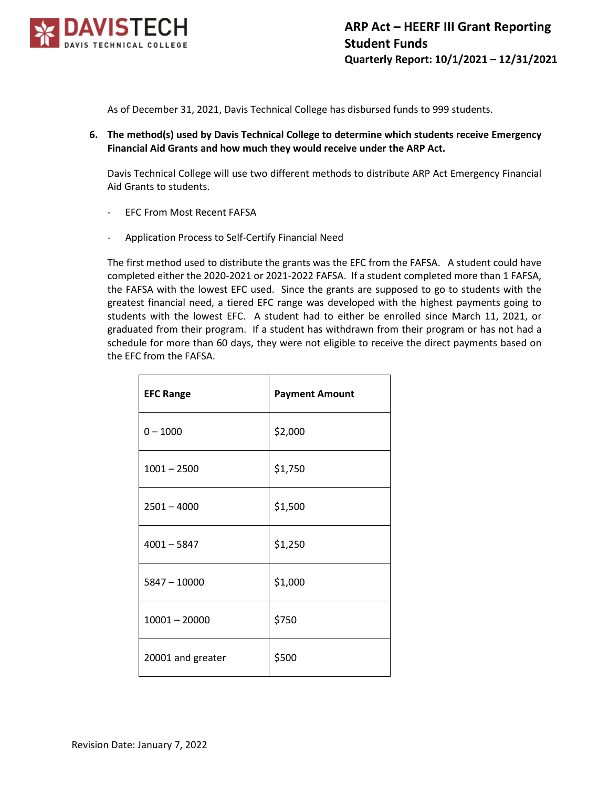

As of December 31, 2021, Davis Technical College has disbursed funds to 999 students.

**6. The method(s) used by Davis Technical College to determine which students receive Emergency Financial Aid Grants and how much they would receive under the ARP Act.**

Davis Technical College will use two different methods to distribute ARP Act Emergency Financial Aid Grants to students.

- EFC From Most Recent FAFSA
- Application Process to Self-Certify Financial Need

The first method used to distribute the grants was the EFC from the FAFSA. A student could have completed either the 2020-2021 or 2021-2022 FAFSA. If a student completed more than 1 FAFSA, the FAFSA with the lowest EFC used. Since the grants are supposed to go to students with the greatest financial need, a tiered EFC range was developed with the highest payments going to students with the lowest EFC. A student had to either be enrolled since March 11, 2021, or graduated from their program. If a student has withdrawn from their program or has not had a schedule for more than 60 days, they were not eligible to receive the direct payments based on the EFC from the FAFSA.

| <b>EFC Range</b>  | <b>Payment Amount</b> |
|-------------------|-----------------------|
| $0 - 1000$        | \$2,000               |
| $1001 - 2500$     | \$1,750               |
| $2501 - 4000$     | \$1,500               |
| $4001 - 5847$     | \$1,250               |
| $5847 - 10000$    | \$1,000               |
| $10001 - 20000$   | \$750                 |
| 20001 and greater | \$500                 |